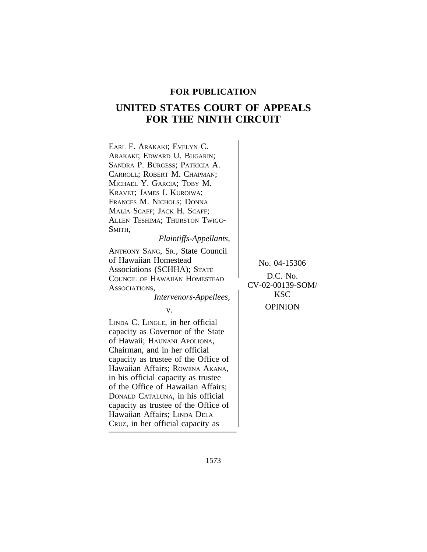# **FOR PUBLICATION**

# **UNITED STATES COURT OF APPEALS FOR THE NINTH CIRCUIT**

| EARL F. ARAKAKI; EVELYN C.<br>ARAKAKI; EDWARD U. BUGARIN;<br>SANDRA P. BURGESS; PATRICIA A.<br>CARROLL; ROBERT M. CHAPMAN;<br>MICHAEL Y. GARCIA; TOBY M.<br>KRAVET; JAMES I. KUROIWA;<br>FRANCES M. NICHOLS; DONNA<br>MALIA SCAFF; JACK H. SCAFF;<br>ALLEN TESHIMA; THURSTON TWIGG-<br>Smith,<br>Plaintiffs-Appellants,                                                                                                                         |                                                                              |
|-------------------------------------------------------------------------------------------------------------------------------------------------------------------------------------------------------------------------------------------------------------------------------------------------------------------------------------------------------------------------------------------------------------------------------------------------|------------------------------------------------------------------------------|
| ANTHONY SANG, SR., State Council<br>of Hawaiian Homestead<br>Associations (SCHHA); STATE<br>COUNCIL OF HAWAIIAN HOMESTEAD<br>ASSOCIATIONS,<br>Intervenors-Appellees,<br>v.                                                                                                                                                                                                                                                                      | No. 04-15306<br>D.C. No.<br>CV-02-00139-SOM/<br><b>KSC</b><br><b>OPINION</b> |
| LINDA C. LINGLE, in her official<br>capacity as Governor of the State<br>of Hawaii; HAUNANI APOLIONA,<br>Chairman, and in her official<br>capacity as trustee of the Office of<br>Hawaiian Affairs; ROWENA AKANA,<br>in his official capacity as trustee<br>of the Office of Hawaiian Affairs;<br>DONALD CATALUNA, in his official<br>capacity as trustee of the Office of<br>Hawaiian Affairs; LINDA DELA<br>CRUZ, in her official capacity as |                                                                              |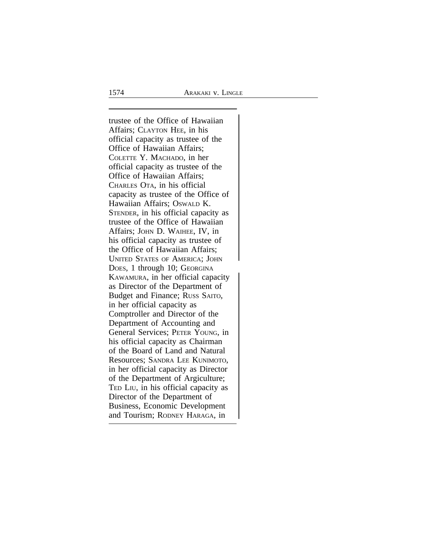trustee of the Office of Hawaiian Affairs; CLAYTON HEE, in his official capacity as trustee of the Office of Hawaiian Affairs; COLETTE Y. MACHADO, in her official capacity as trustee of the Office of Hawaiian Affairs; CHARLES OTA, in his official capacity as trustee of the Office of Hawaiian Affairs; OSWALD K. STENDER, in his official capacity as trustee of the Office of Hawaiian Affairs; JOHN D. WAIHEE, IV, in his official capacity as trustee of the Office of Hawaiian Affairs; UNITED STATES OF AMERICA; JOHN <sup>D</sup>OES, 1 through 10; GEORGINA KAWAMURA, in her official capacity as Director of the Department of Budget and Finance; RUSS SAITO, in her official capacity as Comptroller and Director of the Department of Accounting and General Services; PETER YOUNG, in his official capacity as Chairman of the Board of Land and Natural Resources; SANDRA LEE KUNIMOTO, in her official capacity as Director of the Department of Argiculture; TED LIU, in his official capacity as Director of the Department of Business, Economic Development and Tourism; RODNEY HARAGA, in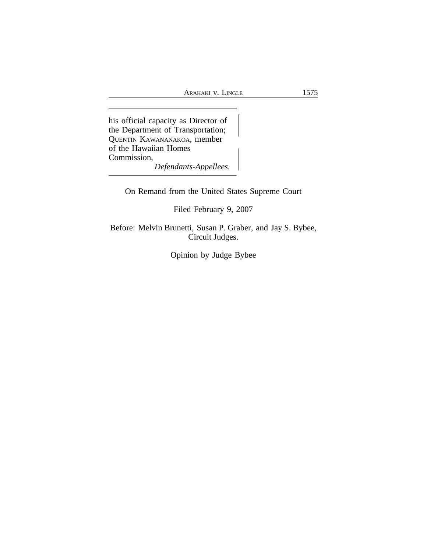his official capacity as Director of the Department of Transportation; <sup>Q</sup>UENTIN KAWANANAKOA, member of the Hawaiian Homes Commission, *Defendants-Appellees.*

On Remand from the United States Supreme Court

Filed February 9, 2007

Before: Melvin Brunetti, Susan P. Graber, and Jay S. Bybee, Circuit Judges.

Opinion by Judge Bybee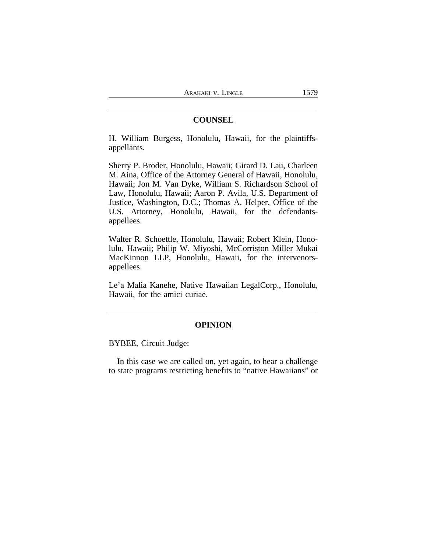## **COUNSEL**

H. William Burgess, Honolulu, Hawaii, for the plaintiffsappellants.

Sherry P. Broder, Honolulu, Hawaii; Girard D. Lau, Charleen M. Aina, Office of the Attorney General of Hawaii, Honolulu, Hawaii; Jon M. Van Dyke, William S. Richardson School of Law, Honolulu, Hawaii; Aaron P. Avila, U.S. Department of Justice, Washington, D.C.; Thomas A. Helper, Office of the U.S. Attorney, Honolulu, Hawaii, for the defendantsappellees.

Walter R. Schoettle, Honolulu, Hawaii; Robert Klein, Honolulu, Hawaii; Philip W. Miyoshi, McCorriston Miller Mukai MacKinnon LLP, Honolulu, Hawaii, for the intervenorsappellees.

Le'a Malia Kanehe, Native Hawaiian LegalCorp., Honolulu, Hawaii, for the amici curiae.

### **OPINION**

BYBEE, Circuit Judge:

In this case we are called on, yet again, to hear a challenge to state programs restricting benefits to "native Hawaiians" or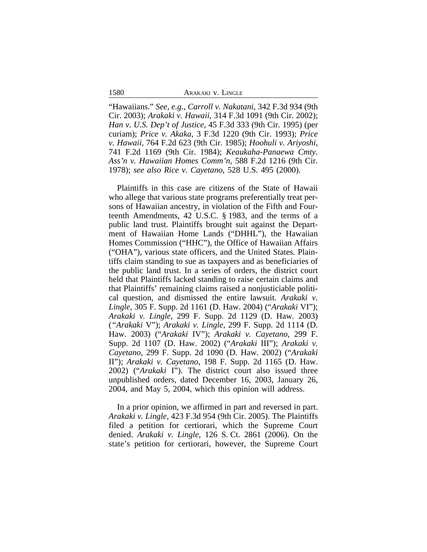| ARAKAKI V. LINGLE |  |
|-------------------|--|
|-------------------|--|

"Hawaiians." *See, e.g., Carroll v. Nakatani*, 342 F.3d 934 (9th Cir. 2003); *Arakaki v. Hawaii*, 314 F.3d 1091 (9th Cir. 2002); *Han v. U.S. Dep't of Justice*, 45 F.3d 333 (9th Cir. 1995) (per curiam); *Price v. Akaka*, 3 F.3d 1220 (9th Cir. 1993); *Price v. Hawaii*, 764 F.2d 623 (9th Cir. 1985); *Hoohuli v. Ariyoshi*, 741 F.2d 1169 (9th Cir. 1984); *Keaukaha-Panaewa Cmty. Ass'n v. Hawaiian Homes Comm'n*, 588 F.2d 1216 (9th Cir. 1978); *see also Rice v. Cayetano*, 528 U.S. 495 (2000).

Plaintiffs in this case are citizens of the State of Hawaii who allege that various state programs preferentially treat persons of Hawaiian ancestry, in violation of the Fifth and Fourteenth Amendments, 42 U.S.C. § 1983, and the terms of a public land trust. Plaintiffs brought suit against the Department of Hawaiian Home Lands ("DHHL"), the Hawaiian Homes Commission ("HHC"), the Office of Hawaiian Affairs ("OHA"), various state officers, and the United States. Plaintiffs claim standing to sue as taxpayers and as beneficiaries of the public land trust. In a series of orders, the district court held that Plaintiffs lacked standing to raise certain claims and that Plaintiffs' remaining claims raised a nonjusticiable political question, and dismissed the entire lawsuit. *Arakaki v. Lingle*, 305 F. Supp. 2d 1161 (D. Haw. 2004) ("*Arakaki* VI"); *Arakaki v. Lingle*, 299 F. Supp. 2d 1129 (D. Haw. 2003) (*"Arakaki* V"); *Arakaki v. Lingle*, 299 F. Supp. 2d 1114 (D. Haw. 2003) ("*Arakaki* IV"); *Arakaki v. Cayetano*, 299 F. Supp. 2d 1107 (D. Haw. 2002) ("*Arakaki* III"); *Arakaki v. Cayetano*, 299 F. Supp. 2d 1090 (D. Haw. 2002) ("*Arakaki* II"); *Arakaki v. Cayetano*, 198 F. Supp. 2d 1165 (D. Haw. 2002) ("*Arakaki* I"). The district court also issued three unpublished orders, dated December 16, 2003, January 26, 2004, and May 5, 2004, which this opinion will address.

In a prior opinion, we affirmed in part and reversed in part. *Arakaki v. Lingle*, 423 F.3d 954 (9th Cir. 2005). The Plaintiffs filed a petition for certiorari, which the Supreme Court denied. *Arakaki v. Lingle*, 126 S. Ct. 2861 (2006). On the state's petition for certiorari, however, the Supreme Court

1580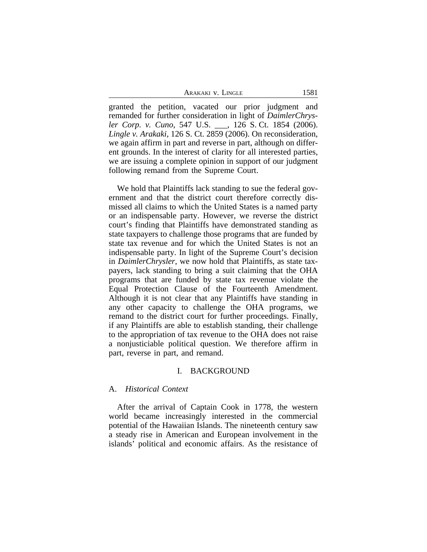ARAKAKI V. LINGLE 1581

granted the petition, vacated our prior judgment and remanded for further consideration in light of *DaimlerChrysler Corp. v. Cuno*, 547 U.S. \_\_\_, 126 S. Ct. 1854 (2006). *Lingle v. Arakaki*, 126 S. Ct. 2859 (2006). On reconsideration, we again affirm in part and reverse in part, although on different grounds. In the interest of clarity for all interested parties, we are issuing a complete opinion in support of our judgment following remand from the Supreme Court.

We hold that Plaintiffs lack standing to sue the federal government and that the district court therefore correctly dismissed all claims to which the United States is a named party or an indispensable party. However, we reverse the district court's finding that Plaintiffs have demonstrated standing as state taxpayers to challenge those programs that are funded by state tax revenue and for which the United States is not an indispensable party. In light of the Supreme Court's decision in *DaimlerChrysler*, we now hold that Plaintiffs, as state taxpayers, lack standing to bring a suit claiming that the OHA programs that are funded by state tax revenue violate the Equal Protection Clause of the Fourteenth Amendment. Although it is not clear that any Plaintiffs have standing in any other capacity to challenge the OHA programs, we remand to the district court for further proceedings. Finally, if any Plaintiffs are able to establish standing, their challenge to the appropriation of tax revenue to the OHA does not raise a nonjusticiable political question. We therefore affirm in part, reverse in part, and remand.

### I. BACKGROUND

### A. *Historical Context*

After the arrival of Captain Cook in 1778, the western world became increasingly interested in the commercial potential of the Hawaiian Islands. The nineteenth century saw a steady rise in American and European involvement in the islands' political and economic affairs. As the resistance of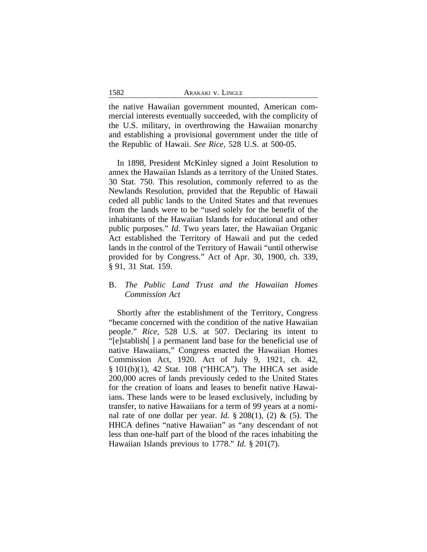| 1582 | ARAKAKI V. LINGLE |
|------|-------------------|
|      |                   |

the native Hawaiian government mounted, American commercial interests eventually succeeded, with the complicity of the U.S. military, in overthrowing the Hawaiian monarchy and establishing a provisional government under the title of the Republic of Hawaii. *See Rice*, 528 U.S. at 500-05.

In 1898, President McKinley signed a Joint Resolution to annex the Hawaiian Islands as a territory of the United States. 30 Stat. 750. This resolution, commonly referred to as the Newlands Resolution, provided that the Republic of Hawaii ceded all public lands to the United States and that revenues from the lands were to be "used solely for the benefit of the inhabitants of the Hawaiian Islands for educational and other public purposes." *Id*. Two years later, the Hawaiian Organic Act established the Territory of Hawaii and put the ceded lands in the control of the Territory of Hawaii "until otherwise provided for by Congress." Act of Apr. 30, 1900, ch. 339, § 91, 31 Stat. 159.

# B. *The Public Land Trust and the Hawaiian Homes Commission Act*

Shortly after the establishment of the Territory, Congress "became concerned with the condition of the native Hawaiian people." *Rice*, 528 U.S. at 507. Declaring its intent to "[e]stablish[ ] a permanent land base for the beneficial use of native Hawaiians," Congress enacted the Hawaiian Homes Commission Act, 1920. Act of July 9, 1921, ch. 42, § 101(b)(1), 42 Stat. 108 ("HHCA"). The HHCA set aside 200,000 acres of lands previously ceded to the United States for the creation of loans and leases to benefit native Hawaiians. These lands were to be leased exclusively, including by transfer, to native Hawaiians for a term of 99 years at a nominal rate of one dollar per year. *Id.*  $\S 208(1)$ , (2) & (5). The HHCA defines "native Hawaiian" as "any descendant of not less than one-half part of the blood of the races inhabiting the Hawaiian Islands previous to 1778." *Id.* § 201(7).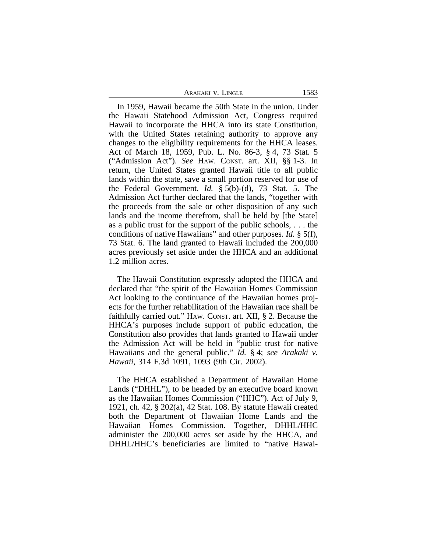| Arakaki v. Lingle | 1583 |
|-------------------|------|
|                   |      |

In 1959, Hawaii became the 50th State in the union. Under the Hawaii Statehood Admission Act, Congress required Hawaii to incorporate the HHCA into its state Constitution, with the United States retaining authority to approve any changes to the eligibility requirements for the HHCA leases. Act of March 18, 1959, Pub. L. No. 86-3, § 4, 73 Stat. 5 ("Admission Act"). *See* HAW. CONST. art. XII, §§ 1-3. In return, the United States granted Hawaii title to all public lands within the state, save a small portion reserved for use of the Federal Government. *Id.* § 5(b)-(d), 73 Stat. 5. The Admission Act further declared that the lands, "together with the proceeds from the sale or other disposition of any such lands and the income therefrom, shall be held by [the State] as a public trust for the support of the public schools, . . . the conditions of native Hawaiians" and other purposes. *Id.* § 5(f), 73 Stat. 6. The land granted to Hawaii included the 200,000 acres previously set aside under the HHCA and an additional 1.2 million acres.

The Hawaii Constitution expressly adopted the HHCA and declared that "the spirit of the Hawaiian Homes Commission Act looking to the continuance of the Hawaiian homes projects for the further rehabilitation of the Hawaiian race shall be faithfully carried out." HAW. CONST. art. XII, § 2. Because the HHCA's purposes include support of public education, the Constitution also provides that lands granted to Hawaii under the Admission Act will be held in "public trust for native Hawaiians and the general public." *Id.* § 4; *see Arakaki v. Hawaii*, 314 F.3d 1091, 1093 (9th Cir. 2002).

The HHCA established a Department of Hawaiian Home Lands ("DHHL"), to be headed by an executive board known as the Hawaiian Homes Commission ("HHC"). Act of July 9, 1921, ch. 42, § 202(a), 42 Stat. 108. By statute Hawaii created both the Department of Hawaiian Home Lands and the Hawaiian Homes Commission. Together, DHHL/HHC administer the 200,000 acres set aside by the HHCA, and DHHL/HHC's beneficiaries are limited to "native Hawai-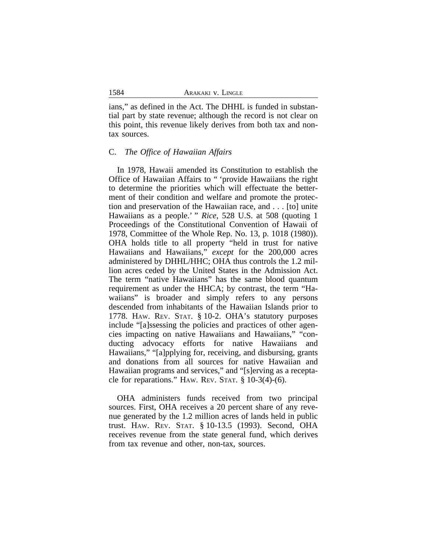ians," as defined in the Act. The DHHL is funded in substantial part by state revenue; although the record is not clear on this point, this revenue likely derives from both tax and nontax sources.

### C. *The Office of Hawaiian Affairs*

In 1978, Hawaii amended its Constitution to establish the Office of Hawaiian Affairs to " 'provide Hawaiians the right to determine the priorities which will effectuate the betterment of their condition and welfare and promote the protection and preservation of the Hawaiian race, and . . . [to] unite Hawaiians as a people.' " *Rice*, 528 U.S. at 508 (quoting 1 Proceedings of the Constitutional Convention of Hawaii of 1978, Committee of the Whole Rep. No. 13, p. 1018 (1980)). OHA holds title to all property "held in trust for native Hawaiians and Hawaiians," *except* for the 200,000 acres administered by DHHL/HHC; OHA thus controls the 1.2 million acres ceded by the United States in the Admission Act. The term "native Hawaiians" has the same blood quantum requirement as under the HHCA; by contrast, the term "Hawaiians" is broader and simply refers to any persons descended from inhabitants of the Hawaiian Islands prior to 1778. HAW. REV. STAT. § 10-2. OHA's statutory purposes include "[a]ssessing the policies and practices of other agencies impacting on native Hawaiians and Hawaiians," "conducting advocacy efforts for native Hawaiians and Hawaiians," "[a]pplying for, receiving, and disbursing, grants and donations from all sources for native Hawaiian and Hawaiian programs and services," and "[s]erving as a receptacle for reparations." HAW. REV. STAT.  $\S$  10-3(4)-(6).

OHA administers funds received from two principal sources. First, OHA receives a 20 percent share of any revenue generated by the 1.2 million acres of lands held in public trust. HAW. REV. STAT. § 10-13.5 (1993). Second, OHA receives revenue from the state general fund, which derives from tax revenue and other, non-tax, sources.

1584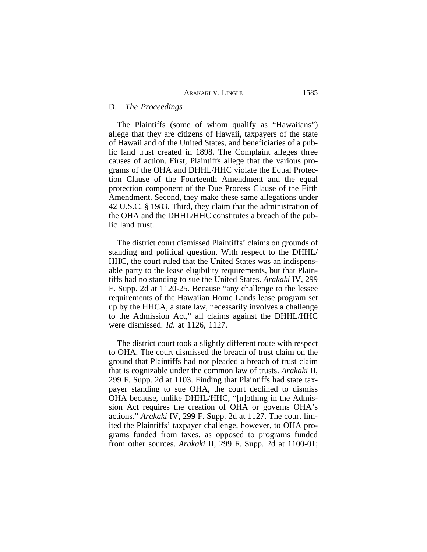### D. *The Proceedings*

The Plaintiffs (some of whom qualify as "Hawaiians") allege that they are citizens of Hawaii, taxpayers of the state of Hawaii and of the United States, and beneficiaries of a public land trust created in 1898. The Complaint alleges three causes of action. First, Plaintiffs allege that the various programs of the OHA and DHHL/HHC violate the Equal Protection Clause of the Fourteenth Amendment and the equal protection component of the Due Process Clause of the Fifth Amendment. Second, they make these same allegations under 42 U.S.C. § 1983. Third, they claim that the administration of the OHA and the DHHL/HHC constitutes a breach of the public land trust.

The district court dismissed Plaintiffs' claims on grounds of standing and political question. With respect to the DHHL/ HHC, the court ruled that the United States was an indispensable party to the lease eligibility requirements, but that Plaintiffs had no standing to sue the United States. *Arakaki* IV, 299 F. Supp. 2d at 1120-25. Because "any challenge to the lessee requirements of the Hawaiian Home Lands lease program set up by the HHCA, a state law, necessarily involves a challenge to the Admission Act," all claims against the DHHL/HHC were dismissed. *Id.* at 1126, 1127.

The district court took a slightly different route with respect to OHA. The court dismissed the breach of trust claim on the ground that Plaintiffs had not pleaded a breach of trust claim that is cognizable under the common law of trusts. *Arakaki* II, 299 F. Supp. 2d at 1103. Finding that Plaintiffs had state taxpayer standing to sue OHA, the court declined to dismiss OHA because, unlike DHHL/HHC, "[n]othing in the Admission Act requires the creation of OHA or governs OHA's actions." *Arakaki* IV, 299 F. Supp. 2d at 1127. The court limited the Plaintiffs' taxpayer challenge, however, to OHA programs funded from taxes, as opposed to programs funded from other sources. *Arakaki* II, 299 F. Supp. 2d at 1100-01;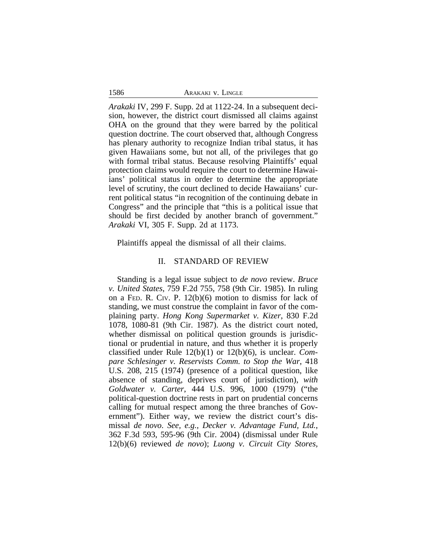| ARAKAKI V. LINGLE |  |  |
|-------------------|--|--|
|-------------------|--|--|

1586

*Arakaki* IV, 299 F. Supp. 2d at 1122-24. In a subsequent decision, however, the district court dismissed all claims against OHA on the ground that they were barred by the political question doctrine. The court observed that, although Congress has plenary authority to recognize Indian tribal status, it has given Hawaiians some, but not all, of the privileges that go with formal tribal status. Because resolving Plaintiffs' equal protection claims would require the court to determine Hawaiians' political status in order to determine the appropriate level of scrutiny, the court declined to decide Hawaiians' current political status "in recognition of the continuing debate in Congress" and the principle that "this is a political issue that should be first decided by another branch of government." *Arakaki* VI, 305 F. Supp. 2d at 1173.

Plaintiffs appeal the dismissal of all their claims.

### II. STANDARD OF REVIEW

Standing is a legal issue subject to *de novo* review. *Bruce v. United States*, 759 F.2d 755, 758 (9th Cir. 1985). In ruling on a FED. R. CIV. P. 12(b)(6) motion to dismiss for lack of standing, we must construe the complaint in favor of the complaining party. *Hong Kong Supermarket v. Kizer*, 830 F.2d 1078, 1080-81 (9th Cir. 1987). As the district court noted, whether dismissal on political question grounds is jurisdictional or prudential in nature, and thus whether it is properly classified under Rule 12(b)(1) or 12(b)(6), is unclear. *Compare Schlesinger v. Reservists Comm. to Stop the War*, 418 U.S. 208, 215 (1974) (presence of a political question, like absence of standing, deprives court of jurisdiction), *with Goldwater v. Carter*, 444 U.S. 996, 1000 (1979) ("the political-question doctrine rests in part on prudential concerns calling for mutual respect among the three branches of Government"). Either way, we review the district court's dismissal *de novo*. *See, e.g., Decker v. Advantage Fund, Ltd.*, 362 F.3d 593, 595-96 (9th Cir. 2004) (dismissal under Rule 12(b)(6) reviewed *de novo*); *Luong v. Circuit City Stores,*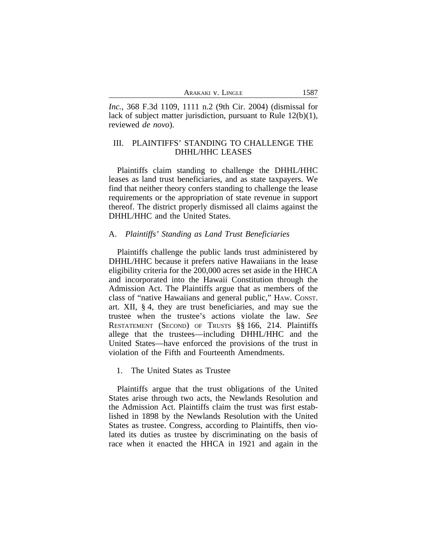*Inc.*, 368 F.3d 1109, 1111 n.2 (9th Cir. 2004) (dismissal for lack of subject matter jurisdiction, pursuant to Rule 12(b)(1), reviewed *de novo*).

# III. PLAINTIFFS' STANDING TO CHALLENGE THE DHHL/HHC LEASES

Plaintiffs claim standing to challenge the DHHL/HHC leases as land trust beneficiaries, and as state taxpayers. We find that neither theory confers standing to challenge the lease requirements or the appropriation of state revenue in support thereof. The district properly dismissed all claims against the DHHL/HHC and the United States.

### A. *Plaintiffs' Standing as Land Trust Beneficiaries*

Plaintiffs challenge the public lands trust administered by DHHL/HHC because it prefers native Hawaiians in the lease eligibility criteria for the 200,000 acres set aside in the HHCA and incorporated into the Hawaii Constitution through the Admission Act. The Plaintiffs argue that as members of the class of "native Hawaiians and general public," HAW. CONST. art. XII, § 4, they are trust beneficiaries, and may sue the trustee when the trustee's actions violate the law. *See* RESTATEMENT (SECOND) OF TRUSTS §§ 166, 214. Plaintiffs allege that the trustees—including DHHL/HHC and the United States—have enforced the provisions of the trust in violation of the Fifth and Fourteenth Amendments.

### 1. The United States as Trustee

Plaintiffs argue that the trust obligations of the United States arise through two acts, the Newlands Resolution and the Admission Act. Plaintiffs claim the trust was first established in 1898 by the Newlands Resolution with the United States as trustee. Congress, according to Plaintiffs, then violated its duties as trustee by discriminating on the basis of race when it enacted the HHCA in 1921 and again in the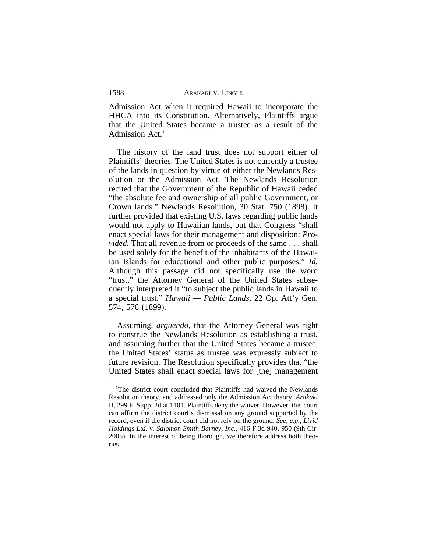Admission Act when it required Hawaii to incorporate the HHCA into its Constitution. Alternatively, Plaintiffs argue that the United States became a trustee as a result of the Admission Act.**<sup>1</sup>**

The history of the land trust does not support either of Plaintiffs' theories. The United States is not currently a trustee of the lands in question by virtue of either the Newlands Resolution or the Admission Act. The Newlands Resolution recited that the Government of the Republic of Hawaii ceded "the absolute fee and ownership of all public Government, or Crown lands." Newlands Resolution, 30 Stat. 750 (1898). It further provided that existing U.S. laws regarding public lands would not apply to Hawaiian lands, but that Congress "shall enact special laws for their management and disposition: *Provided*, That all revenue from or proceeds of the same . . . shall be used solely for the benefit of the inhabitants of the Hawaiian Islands for educational and other public purposes." *Id.* Although this passage did not specifically use the word "trust," the Attorney General of the United States subsequently interpreted it "to subject the public lands in Hawaii to a special trust." *Hawaii — Public Lands*, 22 Op. Att'y Gen. 574, 576 (1899).

Assuming, *arguendo*, that the Attorney General was right to construe the Newlands Resolution as establishing a trust, and assuming further that the United States became a trustee, the United States' status as trustee was expressly subject to future revision. The Resolution specifically provides that "the United States shall enact special laws for [the] management

**<sup>1</sup>**The district court concluded that Plaintiffs had waived the Newlands Resolution theory, and addressed only the Admission Act theory. *Arakaki* II, 299 F. Supp. 2d at 1101. Plaintiffs deny the waiver. However, this court can affirm the district court's dismissal on any ground supported by the record, even if the district court did not rely on the ground. *See, e.g., Livid Holdings Ltd. v. Salomon Smith Barney, Inc.,* 416 F.3d 940, 950 (9th Cir. 2005). In the interest of being thorough, we therefore address both theories.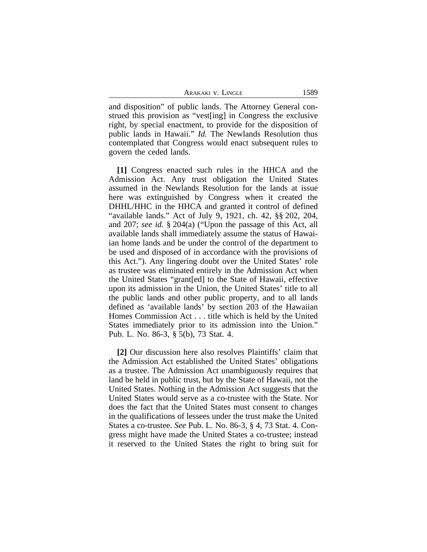ARAKAKI V. LINGLE 1589

and disposition" of public lands. The Attorney General construed this provision as "vest[ing] in Congress the exclusive right, by special enactment, to provide for the disposition of public lands in Hawaii." *Id.* The Newlands Resolution thus contemplated that Congress would enact subsequent rules to govern the ceded lands.

**[1]** Congress enacted such rules in the HHCA and the Admission Act. Any trust obligation the United States assumed in the Newlands Resolution for the lands at issue here was extinguished by Congress when it created the DHHL/HHC in the HHCA and granted it control of defined "available lands." Act of July 9, 1921, ch. 42, §§ 202, 204, and 207; *see id.* § 204(a) ("Upon the passage of this Act, all available lands shall immediately assume the status of Hawaiian home lands and be under the control of the department to be used and disposed of in accordance with the provisions of this Act."). Any lingering doubt over the United States' role as trustee was eliminated entirely in the Admission Act when the United States "grant[ed] to the State of Hawaii, effective upon its admission in the Union, the United States' title to all the public lands and other public property, and to all lands defined as 'available lands' by section 203 of the Hawaiian Homes Commission Act . . . title which is held by the United States immediately prior to its admission into the Union." Pub. L. No. 86-3, § 5(b), 73 Stat. 4.

**[2]** Our discussion here also resolves Plaintiffs' claim that the Admission Act established the United States' obligations as a trustee. The Admission Act unambiguously requires that land be held in public trust, but by the State of Hawaii, not the United States. Nothing in the Admission Act suggests that the United States would serve as a co-trustee with the State. Nor does the fact that the United States must consent to changes in the qualifications of lessees under the trust make the United States a co-trustee. *See* Pub. L. No. 86-3, § 4, 73 Stat. 4. Congress might have made the United States a co-trustee; instead it reserved to the United States the right to bring suit for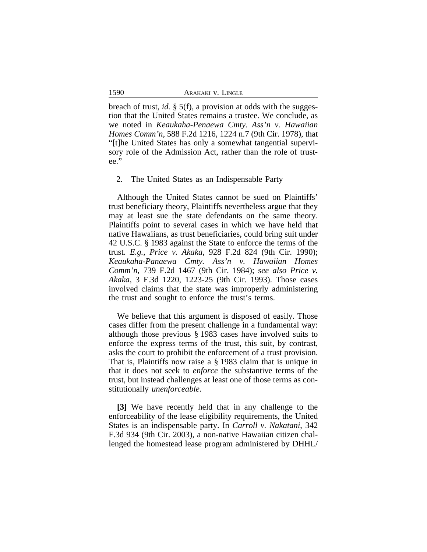breach of trust, *id.* § 5(f), a provision at odds with the suggestion that the United States remains a trustee. We conclude, as we noted in *Keaukaha-Penaewa Cmty. Ass'n v. Hawaiian Homes Comm'n*, 588 F.2d 1216, 1224 n.7 (9th Cir. 1978), that "[t]he United States has only a somewhat tangential supervisory role of the Admission Act, rather than the role of trustee."

2. The United States as an Indispensable Party

Although the United States cannot be sued on Plaintiffs' trust beneficiary theory, Plaintiffs nevertheless argue that they may at least sue the state defendants on the same theory. Plaintiffs point to several cases in which we have held that native Hawaiians, as trust beneficiaries, could bring suit under 42 U.S.C. § 1983 against the State to enforce the terms of the trust. *E.g.*, *Price v. Akaka*, 928 F.2d 824 (9th Cir. 1990); *Keaukaha-Panaewa Cmty. Ass'n v. Hawaiian Homes Comm'n*, 739 F.2d 1467 (9th Cir. 1984); s*ee also Price v. Akaka*, 3 F.3d 1220, 1223-25 (9th Cir. 1993). Those cases involved claims that the state was improperly administering the trust and sought to enforce the trust's terms.

We believe that this argument is disposed of easily. Those cases differ from the present challenge in a fundamental way: although those previous § 1983 cases have involved suits to enforce the express terms of the trust, this suit, by contrast, asks the court to prohibit the enforcement of a trust provision. That is, Plaintiffs now raise a § 1983 claim that is unique in that it does not seek to *enforce* the substantive terms of the trust, but instead challenges at least one of those terms as constitutionally *unenforceable*.

**[3]** We have recently held that in any challenge to the enforceability of the lease eligibility requirements, the United States is an indispensable party. In *Carroll v. Nakatani*, 342 F.3d 934 (9th Cir. 2003), a non-native Hawaiian citizen challenged the homestead lease program administered by DHHL/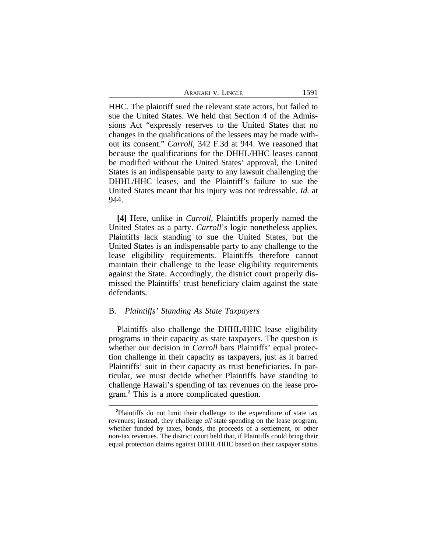| Arakaki v. Lingle | 1591 |
|-------------------|------|
|-------------------|------|

HHC. The plaintiff sued the relevant state actors, but failed to sue the United States. We held that Section 4 of the Admissions Act "expressly reserves to the United States that no changes in the qualifications of the lessees may be made without its consent." *Carroll*, 342 F.3d at 944. We reasoned that because the qualifications for the DHHL/HHC leases cannot be modified without the United States' approval, the United States is an indispensable party to any lawsuit challenging the DHHL/HHC leases, and the Plaintiff's failure to sue the United States meant that his injury was not redressable. *Id.* at 944.

**[4]** Here, unlike in *Carroll*, Plaintiffs properly named the United States as a party. *Carroll*'s logic nonetheless applies. Plaintiffs lack standing to sue the United States, but the United States is an indispensable party to any challenge to the lease eligibility requirements. Plaintiffs therefore cannot maintain their challenge to the lease eligibility requirements against the State. Accordingly, the district court properly dismissed the Plaintiffs' trust beneficiary claim against the state defendants.

## B. *Plaintiffs' Standing As State Taxpayers*

Plaintiffs also challenge the DHHL/HHC lease eligibility programs in their capacity as state taxpayers. The question is whether our decision in *Carroll* bars Plaintiffs' equal protection challenge in their capacity as taxpayers, just as it barred Plaintiffs' suit in their capacity as trust beneficiaries. In particular, we must decide whether Plaintiffs have standing to challenge Hawaii's spending of tax revenues on the lease program.**<sup>2</sup>** This is a more complicated question.

**<sup>2</sup>**Plaintiffs do not limit their challenge to the expenditure of state tax revenues; instead, they challenge *all* state spending on the lease program, whether funded by taxes, bonds, the proceeds of a settlement, or other non-tax revenues. The district court held that, if Plaintiffs could bring their equal protection claims against DHHL/HHC based on their taxpayer status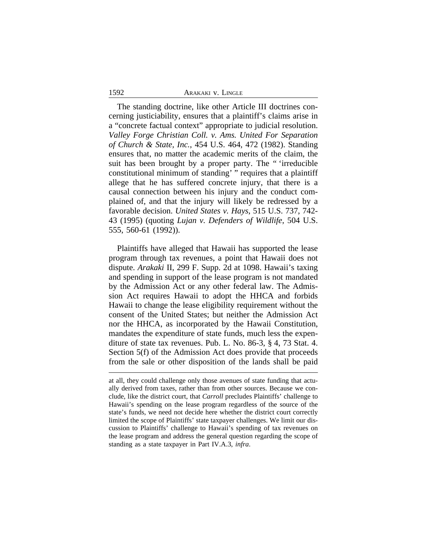#### 1592 ARAKAKI v. LINGLE

The standing doctrine, like other Article III doctrines concerning justiciability, ensures that a plaintiff's claims arise in a "concrete factual context" appropriate to judicial resolution. *Valley Forge Christian Coll. v. Ams. United For Separation of Church & State, Inc.*, 454 U.S. 464, 472 (1982). Standing ensures that, no matter the academic merits of the claim, the suit has been brought by a proper party. The "irreducible" constitutional minimum of standing' " requires that a plaintiff allege that he has suffered concrete injury, that there is a causal connection between his injury and the conduct complained of, and that the injury will likely be redressed by a favorable decision. *United States v. Hays*, 515 U.S. 737, 742- 43 (1995) (quoting *Lujan v. Defenders of Wildlife*, 504 U.S. 555, 560-61 (1992)).

Plaintiffs have alleged that Hawaii has supported the lease program through tax revenues, a point that Hawaii does not dispute. *Arakaki* II, 299 F. Supp. 2d at 1098. Hawaii's taxing and spending in support of the lease program is not mandated by the Admission Act or any other federal law. The Admission Act requires Hawaii to adopt the HHCA and forbids Hawaii to change the lease eligibility requirement without the consent of the United States; but neither the Admission Act nor the HHCA, as incorporated by the Hawaii Constitution, mandates the expenditure of state funds, much less the expenditure of state tax revenues. Pub. L. No. 86-3, § 4, 73 Stat. 4. Section 5(f) of the Admission Act does provide that proceeds from the sale or other disposition of the lands shall be paid

at all, they could challenge only those avenues of state funding that actually derived from taxes, rather than from other sources. Because we conclude, like the district court, that *Carroll* precludes Plaintiffs' challenge to Hawaii's spending on the lease program regardless of the source of the state's funds, we need not decide here whether the district court correctly limited the scope of Plaintiffs' state taxpayer challenges. We limit our discussion to Plaintiffs' challenge to Hawaii's spending of tax revenues on the lease program and address the general question regarding the scope of standing as a state taxpayer in Part IV.A.3, *infra*.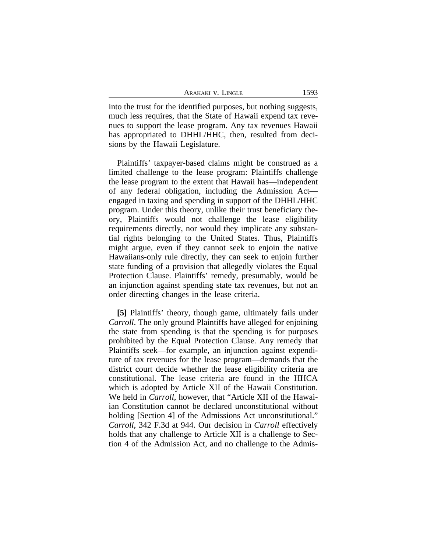| 1593<br>Arakaki v. Lingle |
|---------------------------|
|---------------------------|

into the trust for the identified purposes, but nothing suggests, much less requires, that the State of Hawaii expend tax revenues to support the lease program. Any tax revenues Hawaii has appropriated to DHHL/HHC, then, resulted from decisions by the Hawaii Legislature.

Plaintiffs' taxpayer-based claims might be construed as a limited challenge to the lease program: Plaintiffs challenge the lease program to the extent that Hawaii has—independent of any federal obligation, including the Admission Act engaged in taxing and spending in support of the DHHL/HHC program. Under this theory, unlike their trust beneficiary theory, Plaintiffs would not challenge the lease eligibility requirements directly, nor would they implicate any substantial rights belonging to the United States. Thus, Plaintiffs might argue, even if they cannot seek to enjoin the native Hawaiians-only rule directly, they can seek to enjoin further state funding of a provision that allegedly violates the Equal Protection Clause. Plaintiffs' remedy, presumably, would be an injunction against spending state tax revenues, but not an order directing changes in the lease criteria.

**[5]** Plaintiffs' theory, though game, ultimately fails under *Carroll*. The only ground Plaintiffs have alleged for enjoining the state from spending is that the spending is for purposes prohibited by the Equal Protection Clause. Any remedy that Plaintiffs seek—for example, an injunction against expenditure of tax revenues for the lease program—demands that the district court decide whether the lease eligibility criteria are constitutional. The lease criteria are found in the HHCA which is adopted by Article XII of the Hawaii Constitution. We held in *Carroll*, however, that "Article XII of the Hawaiian Constitution cannot be declared unconstitutional without holding [Section 4] of the Admissions Act unconstitutional." *Carroll*, 342 F.3d at 944. Our decision in *Carroll* effectively holds that any challenge to Article XII is a challenge to Section 4 of the Admission Act, and no challenge to the Admis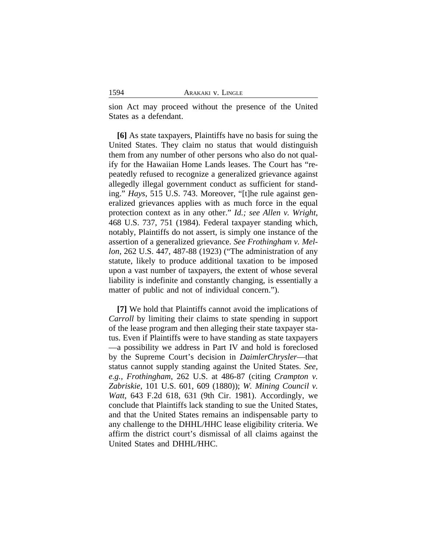sion Act may proceed without the presence of the United States as a defendant.

**[6]** As state taxpayers, Plaintiffs have no basis for suing the United States. They claim no status that would distinguish them from any number of other persons who also do not qualify for the Hawaiian Home Lands leases. The Court has "repeatedly refused to recognize a generalized grievance against allegedly illegal government conduct as sufficient for standing." *Hays*, 515 U.S. 743. Moreover, "[t]he rule against generalized grievances applies with as much force in the equal protection context as in any other." *Id.; see Allen v. Wright*, 468 U.S. 737, 751 (1984). Federal taxpayer standing which, notably, Plaintiffs do not assert, is simply one instance of the assertion of a generalized grievance. *See Frothingham v. Mellon*, 262 U.S. 447, 487-88 (1923) ("The administration of any statute, likely to produce additional taxation to be imposed upon a vast number of taxpayers, the extent of whose several liability is indefinite and constantly changing, is essentially a matter of public and not of individual concern.").

**[7]** We hold that Plaintiffs cannot avoid the implications of *Carroll* by limiting their claims to state spending in support of the lease program and then alleging their state taxpayer status. Even if Plaintiffs were to have standing as state taxpayers —a possibility we address in Part IV and hold is foreclosed by the Supreme Court's decision in *DaimlerChrysler*—that status cannot supply standing against the United States. *See, e.g., Frothingham*, 262 U.S. at 486-87 (citing *Crampton v. Zabriskie*, 101 U.S. 601, 609 (1880)); *W. Mining Council v. Watt*, 643 F.2d 618, 631 (9th Cir. 1981). Accordingly, we conclude that Plaintiffs lack standing to sue the United States, and that the United States remains an indispensable party to any challenge to the DHHL/HHC lease eligibility criteria. We affirm the district court's dismissal of all claims against the United States and DHHL/HHC.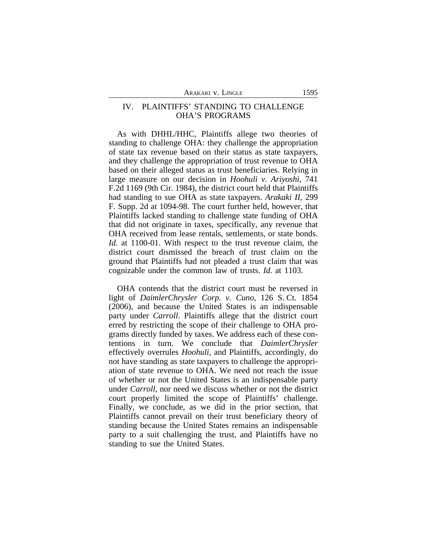# IV. PLAINTIFFS' STANDING TO CHALLENGE OHA'S PROGRAMS

As with DHHL/HHC, Plaintiffs allege two theories of standing to challenge OHA: they challenge the appropriation of state tax revenue based on their status as state taxpayers, and they challenge the appropriation of trust revenue to OHA based on their alleged status as trust beneficiaries. Relying in large measure on our decision in *Hoohuli v. Ariyoshi*, 741 F.2d 1169 (9th Cir. 1984), the district court held that Plaintiffs had standing to sue OHA as state taxpayers. *Arakaki II*, 299 F. Supp. 2d at 1094-98. The court further held, however, that Plaintiffs lacked standing to challenge state funding of OHA that did not originate in taxes, specifically, any revenue that OHA received from lease rentals, settlements, or state bonds. *Id.* at 1100-01. With respect to the trust revenue claim, the district court dismissed the breach of trust claim on the ground that Plaintiffs had not pleaded a trust claim that was cognizable under the common law of trusts. *Id.* at 1103.

OHA contends that the district court must be reversed in light of *DaimlerChrysler Corp. v. Cuno*, 126 S. Ct. 1854 (2006), and because the United States is an indispensable party under *Carroll*. Plaintiffs allege that the district court erred by restricting the scope of their challenge to OHA programs directly funded by taxes. We address each of these contentions in turn. We conclude that *DaimlerChrysler* effectively overrules *Hoohuli*, and Plaintiffs, accordingly, do not have standing as state taxpayers to challenge the appropriation of state revenue to OHA. We need not reach the issue of whether or not the United States is an indispensable party under *Carroll*, nor need we discuss whether or not the district court properly limited the scope of Plaintiffs' challenge. Finally, we conclude, as we did in the prior section, that Plaintiffs cannot prevail on their trust beneficiary theory of standing because the United States remains an indispensable party to a suit challenging the trust, and Plaintiffs have no standing to sue the United States.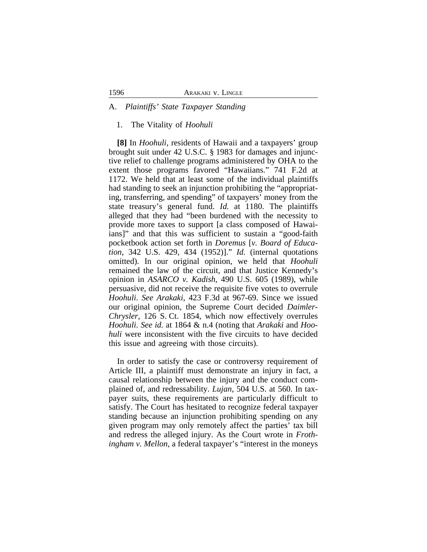### A. *Plaintiffs' State Taxpayer Standing*

### 1. The Vitality of *Hoohuli*

**[8]** In *Hoohuli*, residents of Hawaii and a taxpayers' group brought suit under 42 U.S.C. § 1983 for damages and injunctive relief to challenge programs administered by OHA to the extent those programs favored "Hawaiians." 741 F.2d at 1172. We held that at least some of the individual plaintiffs had standing to seek an injunction prohibiting the "appropriating, transferring, and spending" of taxpayers' money from the state treasury's general fund. *Id.* at 1180. The plaintiffs alleged that they had "been burdened with the necessity to provide more taxes to support [a class composed of Hawaiians]" and that this was sufficient to sustain a "good-faith pocketbook action set forth in *Doremus* [*v. Board of Education*, 342 U.S. 429, 434 (1952)]." *Id.* (internal quotations omitted). In our original opinion, we held that *Hoohuli* remained the law of the circuit, and that Justice Kennedy's opinion in *ASARCO v. Kadish*, 490 U.S. 605 (1989), while persuasive, did not receive the requisite five votes to overrule *Hoohuli*. *See Arakaki*, 423 F.3d at 967-69. Since we issued our original opinion, the Supreme Court decided *Daimler-Chrysler*, 126 S. Ct. 1854, which now effectively overrules *Hoohuli*. *See id.* at 1864 & n.4 (noting that *Arakaki* and *Hoohuli* were inconsistent with the five circuits to have decided this issue and agreeing with those circuits).

In order to satisfy the case or controversy requirement of Article III, a plaintiff must demonstrate an injury in fact, a causal relationship between the injury and the conduct complained of, and redressability. *Lujan*, 504 U.S. at 560. In taxpayer suits, these requirements are particularly difficult to satisfy. The Court has hesitated to recognize federal taxpayer standing because an injunction prohibiting spending on any given program may only remotely affect the parties' tax bill and redress the alleged injury. As the Court wrote in *Frothingham v. Mellon*, a federal taxpayer's "interest in the moneys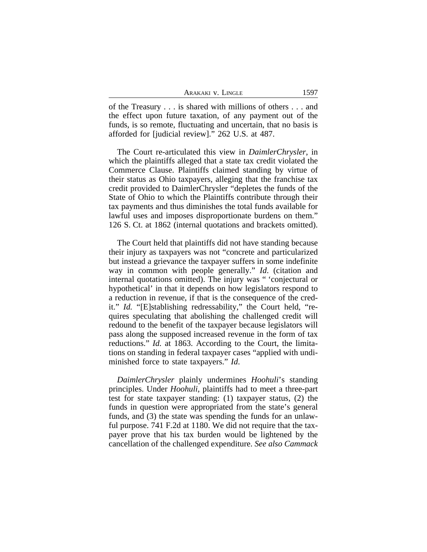| Arakaki v. Lingle | 1597 |
|-------------------|------|
|-------------------|------|

of the Treasury . . . is shared with millions of others . . . and the effect upon future taxation, of any payment out of the funds, is so remote, fluctuating and uncertain, that no basis is afforded for [judicial review]." 262 U.S. at 487.

The Court re-articulated this view in *DaimlerChrysler*, in which the plaintiffs alleged that a state tax credit violated the Commerce Clause. Plaintiffs claimed standing by virtue of their status as Ohio taxpayers, alleging that the franchise tax credit provided to DaimlerChrysler "depletes the funds of the State of Ohio to which the Plaintiffs contribute through their tax payments and thus diminishes the total funds available for lawful uses and imposes disproportionate burdens on them." 126 S. Ct. at 1862 (internal quotations and brackets omitted).

The Court held that plaintiffs did not have standing because their injury as taxpayers was not "concrete and particularized but instead a grievance the taxpayer suffers in some indefinite way in common with people generally." *Id*. (citation and internal quotations omitted). The injury was " 'conjectural or hypothetical' in that it depends on how legislators respond to a reduction in revenue, if that is the consequence of the credit." *Id.* "[E]stablishing redressability," the Court held, "requires speculating that abolishing the challenged credit will redound to the benefit of the taxpayer because legislators will pass along the supposed increased revenue in the form of tax reductions." *Id.* at 1863. According to the Court, the limitations on standing in federal taxpayer cases "applied with undiminished force to state taxpayers." *Id*.

*DaimlerChrysler* plainly undermines *Hoohuli*'s standing principles. Under *Hoohuli*, plaintiffs had to meet a three-part test for state taxpayer standing: (1) taxpayer status, (2) the funds in question were appropriated from the state's general funds, and (3) the state was spending the funds for an unlawful purpose. 741 F.2d at 1180. We did not require that the taxpayer prove that his tax burden would be lightened by the cancellation of the challenged expenditure. *See also Cammack*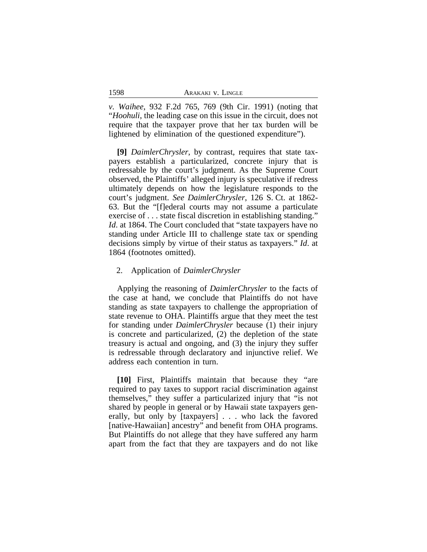*v. Waihee*, 932 F.2d 765, 769 (9th Cir. 1991) (noting that "*Hoohuli*, the leading case on this issue in the circuit, does not require that the taxpayer prove that her tax burden will be lightened by elimination of the questioned expenditure").

**[9]** *DaimlerChrysler*, by contrast, requires that state taxpayers establish a particularized, concrete injury that is redressable by the court's judgment. As the Supreme Court observed, the Plaintiffs' alleged injury is speculative if redress ultimately depends on how the legislature responds to the court's judgment. *See DaimlerChrysler*, 126 S. Ct. at 1862- 63. But the "[f]ederal courts may not assume a particulate exercise of . . . state fiscal discretion in establishing standing." *Id.* at 1864. The Court concluded that "state taxpayers have no standing under Article III to challenge state tax or spending decisions simply by virtue of their status as taxpayers." *Id*. at 1864 (footnotes omitted).

### 2. Application of *DaimlerChrysler*

Applying the reasoning of *DaimlerChrysler* to the facts of the case at hand, we conclude that Plaintiffs do not have standing as state taxpayers to challenge the appropriation of state revenue to OHA. Plaintiffs argue that they meet the test for standing under *DaimlerChrysler* because (1) their injury is concrete and particularized, (2) the depletion of the state treasury is actual and ongoing, and (3) the injury they suffer is redressable through declaratory and injunctive relief. We address each contention in turn.

**[10]** First, Plaintiffs maintain that because they "are required to pay taxes to support racial discrimination against themselves," they suffer a particularized injury that "is not shared by people in general or by Hawaii state taxpayers generally, but only by [taxpayers] . . . who lack the favored [native-Hawaiian] ancestry" and benefit from OHA programs. But Plaintiffs do not allege that they have suffered any harm apart from the fact that they are taxpayers and do not like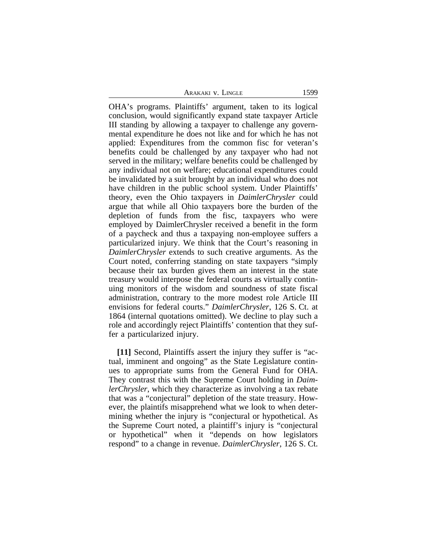ARAKAKI V. LINGLE 1599

OHA's programs. Plaintiffs' argument, taken to its logical conclusion, would significantly expand state taxpayer Article III standing by allowing a taxpayer to challenge any governmental expenditure he does not like and for which he has not applied: Expenditures from the common fisc for veteran's benefits could be challenged by any taxpayer who had not served in the military; welfare benefits could be challenged by any individual not on welfare; educational expenditures could be invalidated by a suit brought by an individual who does not have children in the public school system. Under Plaintiffs' theory, even the Ohio taxpayers in *DaimlerChrysler* could argue that while all Ohio taxpayers bore the burden of the depletion of funds from the fisc, taxpayers who were employed by DaimlerChrysler received a benefit in the form of a paycheck and thus a taxpaying non-employee suffers a particularized injury. We think that the Court's reasoning in *DaimlerChrysler* extends to such creative arguments. As the Court noted, conferring standing on state taxpayers "simply because their tax burden gives them an interest in the state treasury would interpose the federal courts as virtually continuing monitors of the wisdom and soundness of state fiscal administration, contrary to the more modest role Article III envisions for federal courts." *DaimlerChrysler*, 126 S. Ct. at 1864 (internal quotations omitted). We decline to play such a role and accordingly reject Plaintiffs' contention that they suffer a particularized injury.

**[11]** Second, Plaintiffs assert the injury they suffer is "actual, imminent and ongoing" as the State Legislature continues to appropriate sums from the General Fund for OHA. They contrast this with the Supreme Court holding in *DaimlerChrysler*, which they characterize as involving a tax rebate that was a "conjectural" depletion of the state treasury. However, the plaintifs misapprehend what we look to when determining whether the injury is "conjectural or hypothetical. As the Supreme Court noted, a plaintiff's injury is "conjectural or hypothetical" when it "depends on how legislators respond" to a change in revenue. *DaimlerChrysler*, 126 S. Ct.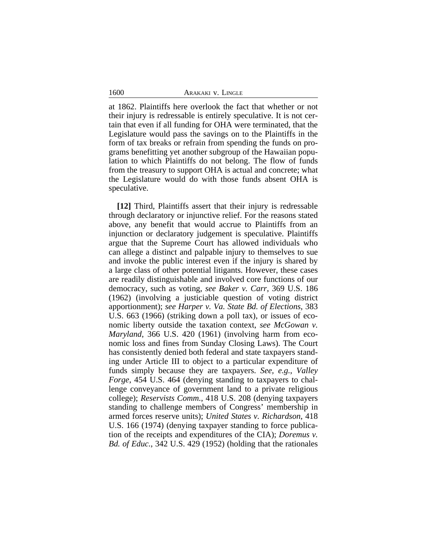1600 ARAKAKI v. LINGLE

at 1862. Plaintiffs here overlook the fact that whether or not their injury is redressable is entirely speculative. It is not certain that even if all funding for OHA were terminated, that the Legislature would pass the savings on to the Plaintiffs in the form of tax breaks or refrain from spending the funds on programs benefitting yet another subgroup of the Hawaiian population to which Plaintiffs do not belong. The flow of funds from the treasury to support OHA is actual and concrete; what the Legislature would do with those funds absent OHA is speculative.

**[12]** Third, Plaintiffs assert that their injury is redressable through declaratory or injunctive relief. For the reasons stated above, any benefit that would accrue to Plaintiffs from an injunction or declaratory judgement is speculative. Plaintiffs argue that the Supreme Court has allowed individuals who can allege a distinct and palpable injury to themselves to sue and invoke the public interest even if the injury is shared by a large class of other potential litigants. However, these cases are readily distinguishable and involved core functions of our democracy, such as voting, *see Baker v. Carr*, 369 U.S. 186 (1962) (involving a justiciable question of voting district apportionment); *see Harper v. Va. State Bd. of Elections*, 383 U.S. 663 (1966) (striking down a poll tax), or issues of economic liberty outside the taxation context, *see McGowan v. Maryland*, 366 U.S. 420 (1961) (involving harm from economic loss and fines from Sunday Closing Laws). The Court has consistently denied both federal and state taxpayers standing under Article III to object to a particular expenditure of funds simply because they are taxpayers. *See, e.g.*, *Valley Forge*, 454 U.S. 464 (denying standing to taxpayers to challenge conveyance of government land to a private religious college); *Reservists Comm.*, 418 U.S. 208 (denying taxpayers standing to challenge members of Congress' membership in armed forces reserve units); *United States v. Richardson*, 418 U.S. 166 (1974) (denying taxpayer standing to force publication of the receipts and expenditures of the CIA); *Doremus v. Bd. of Educ.*, 342 U.S. 429 (1952) (holding that the rationales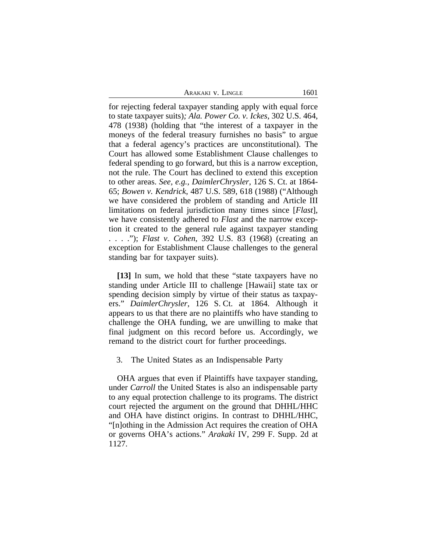ARAKAKI V. LINGLE 1601

for rejecting federal taxpayer standing apply with equal force to state taxpayer suits)*; Ala. Power Co. v. Ickes*, 302 U.S. 464, 478 (1938) (holding that "the interest of a taxpayer in the moneys of the federal treasury furnishes no basis" to argue that a federal agency's practices are unconstitutional). The Court has allowed some Establishment Clause challenges to federal spending to go forward, but this is a narrow exception, not the rule. The Court has declined to extend this exception to other areas. *See, e.g., DaimlerChrysler*, 126 S. Ct. at 1864- 65; *Bowen v. Kendrick*, 487 U.S. 589, 618 (1988) ("Although we have considered the problem of standing and Article III limitations on federal jurisdiction many times since [*Flast*], we have consistently adhered to *Flast* and the narrow exception it created to the general rule against taxpayer standing . . . ."); *Flast v. Cohen*, 392 U.S. 83 (1968) (creating an exception for Establishment Clause challenges to the general standing bar for taxpayer suits).

**[13]** In sum, we hold that these "state taxpayers have no standing under Article III to challenge [Hawaii] state tax or spending decision simply by virtue of their status as taxpayers." *DaimlerChrysler*, 126 S. Ct. at 1864. Although it appears to us that there are no plaintiffs who have standing to challenge the OHA funding, we are unwilling to make that final judgment on this record before us. Accordingly, we remand to the district court for further proceedings.

3. The United States as an Indispensable Party

OHA argues that even if Plaintiffs have taxpayer standing, under *Carroll* the United States is also an indispensable party to any equal protection challenge to its programs. The district court rejected the argument on the ground that DHHL/HHC and OHA have distinct origins. In contrast to DHHL/HHC, "[n]othing in the Admission Act requires the creation of OHA or governs OHA's actions." *Arakaki* IV, 299 F. Supp. 2d at 1127.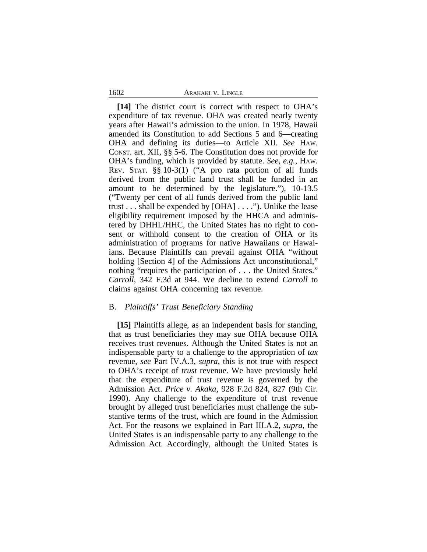#### 1602 ARAKAKI v. LINGLE

**[14]** The district court is correct with respect to OHA's expenditure of tax revenue. OHA was created nearly twenty years after Hawaii's admission to the union. In 1978, Hawaii amended its Constitution to add Sections 5 and 6—creating OHA and defining its duties—to Article XII. *See* HAW. CONST. art. XII, §§ 5-6. The Constitution does not provide for OHA's funding, which is provided by statute. *See*, *e.g.*, HAW. REV. STAT. §§ 10-3(1) ("A pro rata portion of all funds derived from the public land trust shall be funded in an amount to be determined by the legislature."), 10-13.5 ("Twenty per cent of all funds derived from the public land trust . . . shall be expended by [OHA] . . . ."). Unlike the lease eligibility requirement imposed by the HHCA and administered by DHHL/HHC, the United States has no right to consent or withhold consent to the creation of OHA or its administration of programs for native Hawaiians or Hawaiians. Because Plaintiffs can prevail against OHA "without holding [Section 4] of the Admissions Act unconstitutional," nothing "requires the participation of . . . the United States." *Carroll*, 342 F.3d at 944. We decline to extend *Carroll* to claims against OHA concerning tax revenue.

### B. *Plaintiffs' Trust Beneficiary Standing*

**[15]** Plaintiffs allege, as an independent basis for standing, that as trust beneficiaries they may sue OHA because OHA receives trust revenues. Although the United States is not an indispensable party to a challenge to the appropriation of *tax* revenue, *see* Part IV.A.3, *supra*, this is not true with respect to OHA's receipt of *trust* revenue. We have previously held that the expenditure of trust revenue is governed by the Admission Act. *Price v. Akaka*, 928 F.2d 824, 827 (9th Cir. 1990). Any challenge to the expenditure of trust revenue brought by alleged trust beneficiaries must challenge the substantive terms of the trust, which are found in the Admission Act. For the reasons we explained in Part III.A.2, *supra,* the United States is an indispensable party to any challenge to the Admission Act. Accordingly, although the United States is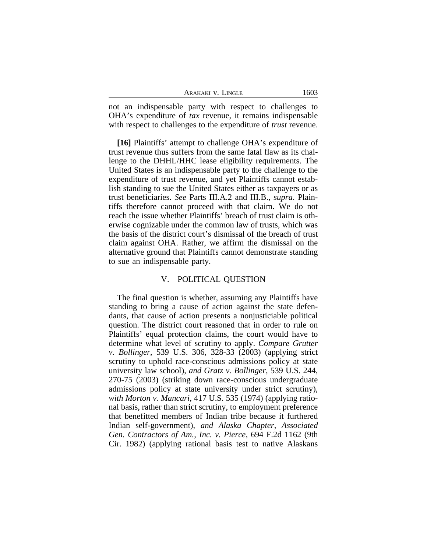| Arakaki v. Lingle | 1603 |
|-------------------|------|
|                   |      |

not an indispensable party with respect to challenges to OHA's expenditure of *tax* revenue, it remains indispensable with respect to challenges to the expenditure of *trust* revenue.

**[16]** Plaintiffs' attempt to challenge OHA's expenditure of trust revenue thus suffers from the same fatal flaw as its challenge to the DHHL/HHC lease eligibility requirements. The United States is an indispensable party to the challenge to the expenditure of trust revenue, and yet Plaintiffs cannot establish standing to sue the United States either as taxpayers or as trust beneficiaries. *See* Parts III.A.2 and III.B., *supra*. Plaintiffs therefore cannot proceed with that claim. We do not reach the issue whether Plaintiffs' breach of trust claim is otherwise cognizable under the common law of trusts, which was the basis of the district court's dismissal of the breach of trust claim against OHA. Rather, we affirm the dismissal on the alternative ground that Plaintiffs cannot demonstrate standing to sue an indispensable party.

### V. POLITICAL QUESTION

The final question is whether, assuming any Plaintiffs have standing to bring a cause of action against the state defendants, that cause of action presents a nonjusticiable political question. The district court reasoned that in order to rule on Plaintiffs' equal protection claims, the court would have to determine what level of scrutiny to apply. *Compare Grutter v. Bollinger*, 539 U.S. 306, 328-33 (2003) (applying strict scrutiny to uphold race-conscious admissions policy at state university law school), *and Gratz v. Bollinger*, 539 U.S. 244, 270-75 (2003) (striking down race-conscious undergraduate admissions policy at state university under strict scrutiny), *with Morton v. Mancari*, 417 U.S. 535 (1974) (applying rational basis, rather than strict scrutiny, to employment preference that benefitted members of Indian tribe because it furthered Indian self-government), *and Alaska Chapter, Associated Gen. Contractors of Am., Inc. v. Pierce*, 694 F.2d 1162 (9th Cir. 1982) (applying rational basis test to native Alaskans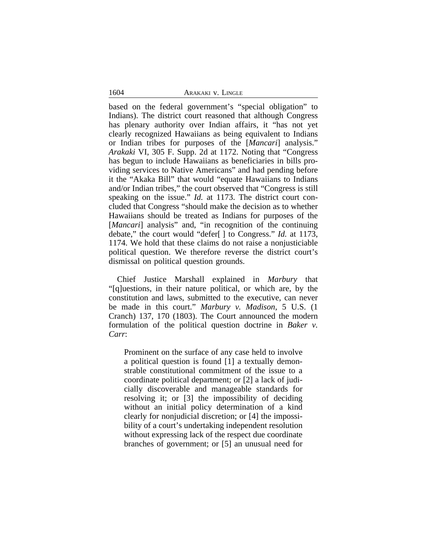### 1604 ARAKAKI v. LINGLE

based on the federal government's "special obligation" to Indians). The district court reasoned that although Congress has plenary authority over Indian affairs, it "has not yet clearly recognized Hawaiians as being equivalent to Indians or Indian tribes for purposes of the [*Mancari*] analysis." *Arakaki* VI, 305 F. Supp. 2d at 1172. Noting that "Congress has begun to include Hawaiians as beneficiaries in bills providing services to Native Americans" and had pending before it the "Akaka Bill" that would "equate Hawaiians to Indians and/or Indian tribes," the court observed that "Congress is still speaking on the issue." *Id.* at 1173. The district court concluded that Congress "should make the decision as to whether Hawaiians should be treated as Indians for purposes of the [*Mancari*] analysis" and, "in recognition of the continuing debate," the court would "defer[ ] to Congress." *Id.* at 1173, 1174. We hold that these claims do not raise a nonjusticiable political question. We therefore reverse the district court's dismissal on political question grounds.

Chief Justice Marshall explained in *Marbury* that "[q]uestions, in their nature political, or which are, by the constitution and laws, submitted to the executive, can never be made in this court." *Marbury v. Madison*, 5 U.S. (1 Cranch) 137, 170 (1803). The Court announced the modern formulation of the political question doctrine in *Baker v. Carr*:

Prominent on the surface of any case held to involve a political question is found [1] a textually demonstrable constitutional commitment of the issue to a coordinate political department; or [2] a lack of judicially discoverable and manageable standards for resolving it; or [3] the impossibility of deciding without an initial policy determination of a kind clearly for nonjudicial discretion; or [4] the impossibility of a court's undertaking independent resolution without expressing lack of the respect due coordinate branches of government; or [5] an unusual need for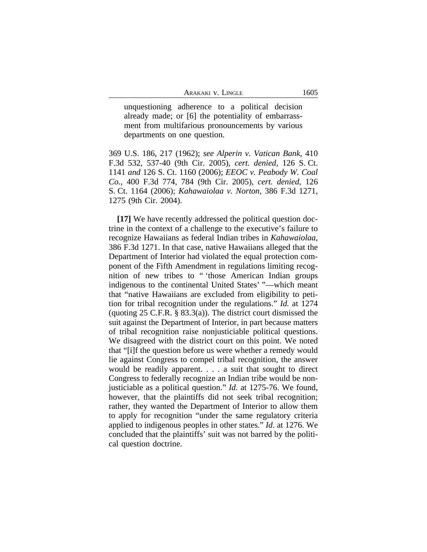unquestioning adherence to a political decision already made; or [6] the potentiality of embarrassment from multifarious pronouncements by various departments on one question.

369 U.S. 186, 217 (1962); *see Alperin v. Vatican Bank*, 410 F.3d 532, 537-40 (9th Cir. 2005), *cert. denied*, 126 S. Ct. 1141 *and* 126 S. Ct. 1160 (2006); *EEOC v. Peabody W. Coal Co.*, 400 F.3d 774, 784 (9th Cir. 2005), *cert. denied*, 126 S. Ct. 1164 (2006); *Kahawaiolaa v. Norton*, 386 F.3d 1271, 1275 (9th Cir. 2004).

**[17]** We have recently addressed the political question doctrine in the context of a challenge to the executive's failure to recognize Hawaiians as federal Indian tribes in *Kahawaiolaa*, 386 F.3d 1271. In that case, native Hawaiians alleged that the Department of Interior had violated the equal protection component of the Fifth Amendment in regulations limiting recognition of new tribes to " 'those American Indian groups indigenous to the continental United States' "—which meant that "native Hawaiians are excluded from eligibility to petition for tribal recognition under the regulations." *Id.* at 1274 (quoting 25 C.F.R. § 83.3(a)). The district court dismissed the suit against the Department of Interior, in part because matters of tribal recognition raise nonjusticiable political questions. We disagreed with the district court on this point. We noted that "[i]f the question before us were whether a remedy would lie against Congress to compel tribal recognition, the answer would be readily apparent. . . . a suit that sought to direct Congress to federally recognize an Indian tribe would be nonjusticiable as a political question." *Id.* at 1275-76. We found, however, that the plaintiffs did not seek tribal recognition; rather, they wanted the Department of Interior to allow them to apply for recognition "under the same regulatory criteria applied to indigenous peoples in other states." *Id*. at 1276. We concluded that the plaintiffs' suit was not barred by the political question doctrine.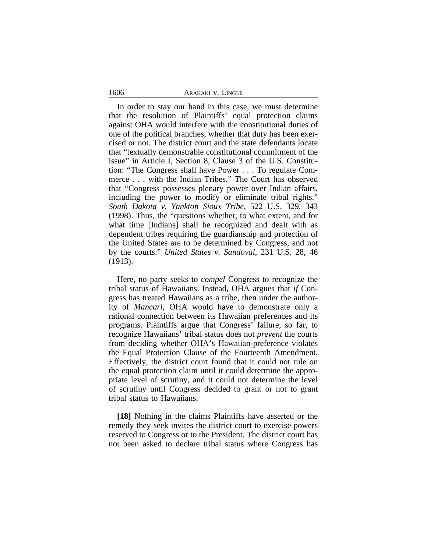#### 1606 ARAKAKI v. LINGLE

In order to stay our hand in this case, we must determine that the resolution of Plaintiffs' equal protection claims against OHA would interfere with the constitutional duties of one of the political branches, whether that duty has been exercised or not. The district court and the state defendants locate that "textually demonstrable constitutional commitment of the issue" in Article I, Section 8, Clause 3 of the U.S. Constitution: "The Congress shall have Power . . . To regulate Commerce . . . with the Indian Tribes." The Court has observed that "Congress possesses plenary power over Indian affairs, including the power to modify or eliminate tribal rights." *South Dakota v. Yankton Sioux Tribe*, 522 U.S. 329, 343 (1998). Thus, the "questions whether, to what extent, and for what time [Indians] shall be recognized and dealt with as dependent tribes requiring the guardianship and protection of the United States are to be determined by Congress, and not by the courts." *United States v. Sandoval*, 231 U.S. 28, 46 (1913).

Here, no party seeks to *compel* Congress to recognize the tribal status of Hawaiians. Instead, OHA argues that *if* Congress has treated Hawaiians as a tribe, then under the authority of *Mancari*, OHA would have to demonstrate only a rational connection between its Hawaiian preferences and its programs. Plaintiffs argue that Congress' failure, so far, to recognize Hawaiians' tribal status does not *prevent* the courts from deciding whether OHA's Hawaiian-preference violates the Equal Protection Clause of the Fourteenth Amendment. Effectively, the district court found that it could not rule on the equal protection claim until it could determine the appropriate level of scrutiny, and it could not determine the level of scrutiny until Congress decided to grant or not to grant tribal status to Hawaiians.

**[18]** Nothing in the claims Plaintiffs have asserted or the remedy they seek invites the district court to exercise powers reserved to Congress or to the President. The district court has not been asked to declare tribal status where Congress has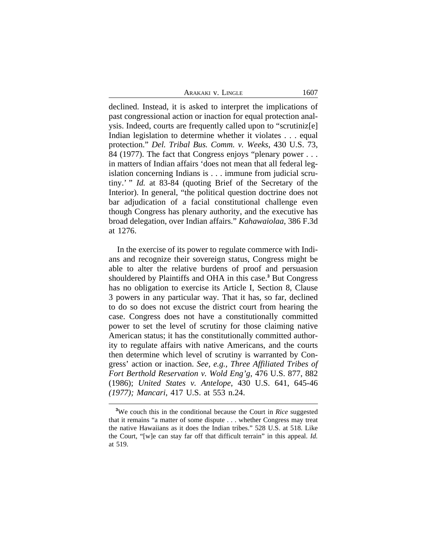ARAKAKI V. LINGLE 1607

declined. Instead, it is asked to interpret the implications of past congressional action or inaction for equal protection analysis. Indeed, courts are frequently called upon to "scrutiniz[e] Indian legislation to determine whether it violates . . . equal protection." *Del. Tribal Bus. Comm. v. Weeks*, 430 U.S. 73, 84 (1977). The fact that Congress enjoys "plenary power . . . in matters of Indian affairs 'does not mean that all federal legislation concerning Indians is . . . immune from judicial scrutiny.' " *Id.* at 83-84 (quoting Brief of the Secretary of the Interior). In general, "the political question doctrine does not bar adjudication of a facial constitutional challenge even though Congress has plenary authority, and the executive has broad delegation, over Indian affairs." *Kahawaiolaa*, 386 F.3d at 1276.

In the exercise of its power to regulate commerce with Indians and recognize their sovereign status, Congress might be able to alter the relative burdens of proof and persuasion shouldered by Plaintiffs and OHA in this case.**<sup>3</sup>** But Congress has no obligation to exercise its Article I, Section 8, Clause 3 powers in any particular way. That it has, so far, declined to do so does not excuse the district court from hearing the case. Congress does not have a constitutionally committed power to set the level of scrutiny for those claiming native American status; it has the constitutionally committed authority to regulate affairs with native Americans, and the courts then determine which level of scrutiny is warranted by Congress' action or inaction. *See, e.g., Three Affiliated Tribes of Fort Berthold Reservation v. Wold Eng'g*, 476 U.S. 877, 882 (1986); *United States v. Antelope*, 430 U.S. 641, 645-46 *(1977); Mancari*, 417 U.S. at 553 n.24.

**<sup>3</sup>**We couch this in the conditional because the Court in *Rice* suggested that it remains "a matter of some dispute . . . whether Congress may treat the native Hawaiians as it does the Indian tribes." 528 U.S. at 518. Like the Court, "[w]e can stay far off that difficult terrain" in this appeal. *Id.* at 519.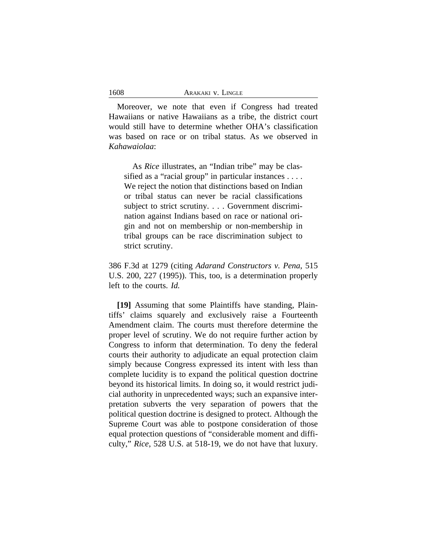Moreover, we note that even if Congress had treated Hawaiians or native Hawaiians as a tribe, the district court would still have to determine whether OHA's classification was based on race or on tribal status. As we observed in *Kahawaiolaa*:

As *Rice* illustrates, an "Indian tribe" may be classified as a "racial group" in particular instances . . . . We reject the notion that distinctions based on Indian or tribal status can never be racial classifications subject to strict scrutiny. . . . Government discrimination against Indians based on race or national origin and not on membership or non-membership in tribal groups can be race discrimination subject to strict scrutiny.

386 F.3d at 1279 (citing *Adarand Constructors v. Pena*, 515 U.S. 200, 227 (1995)). This, too, is a determination properly left to the courts. *Id.*

**[19]** Assuming that some Plaintiffs have standing, Plaintiffs' claims squarely and exclusively raise a Fourteenth Amendment claim. The courts must therefore determine the proper level of scrutiny. We do not require further action by Congress to inform that determination. To deny the federal courts their authority to adjudicate an equal protection claim simply because Congress expressed its intent with less than complete lucidity is to expand the political question doctrine beyond its historical limits. In doing so, it would restrict judicial authority in unprecedented ways; such an expansive interpretation subverts the very separation of powers that the political question doctrine is designed to protect. Although the Supreme Court was able to postpone consideration of those equal protection questions of "considerable moment and difficulty," *Rice*, 528 U.S. at 518-19, we do not have that luxury.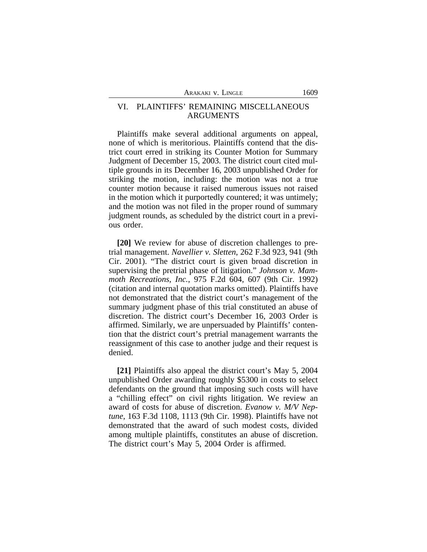# VI. PLAINTIFFS' REMAINING MISCELLANEOUS ARGUMENTS

Plaintiffs make several additional arguments on appeal, none of which is meritorious. Plaintiffs contend that the district court erred in striking its Counter Motion for Summary Judgment of December 15, 2003. The district court cited multiple grounds in its December 16, 2003 unpublished Order for striking the motion, including: the motion was not a true counter motion because it raised numerous issues not raised in the motion which it purportedly countered; it was untimely; and the motion was not filed in the proper round of summary judgment rounds, as scheduled by the district court in a previous order.

**[20]** We review for abuse of discretion challenges to pretrial management. *Navellier v. Sletten*, 262 F.3d 923, 941 (9th Cir. 2001). "The district court is given broad discretion in supervising the pretrial phase of litigation." *Johnson v. Mammoth Recreations, Inc.*, 975 F.2d 604, 607 (9th Cir. 1992) (citation and internal quotation marks omitted). Plaintiffs have not demonstrated that the district court's management of the summary judgment phase of this trial constituted an abuse of discretion. The district court's December 16, 2003 Order is affirmed. Similarly, we are unpersuaded by Plaintiffs' contention that the district court's pretrial management warrants the reassignment of this case to another judge and their request is denied.

**[21]** Plaintiffs also appeal the district court's May 5, 2004 unpublished Order awarding roughly \$5300 in costs to select defendants on the ground that imposing such costs will have a "chilling effect" on civil rights litigation. We review an award of costs for abuse of discretion. *Evanow v. M/V Neptune*, 163 F.3d 1108, 1113 (9th Cir. 1998). Plaintiffs have not demonstrated that the award of such modest costs, divided among multiple plaintiffs, constitutes an abuse of discretion. The district court's May 5, 2004 Order is affirmed.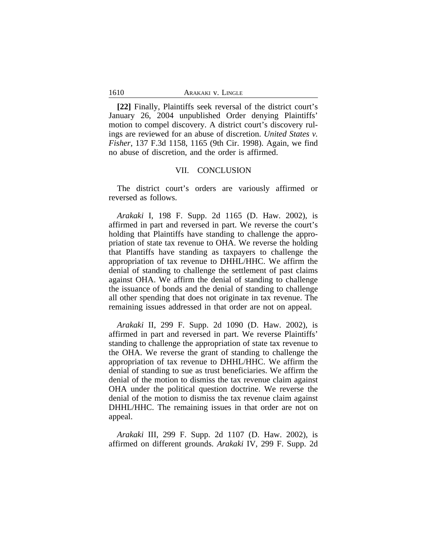#### 1610 ARAKAKI v. LINGLE

**[22]** Finally, Plaintiffs seek reversal of the district court's January 26, 2004 unpublished Order denying Plaintiffs' motion to compel discovery. A district court's discovery rulings are reviewed for an abuse of discretion. *United States v. Fisher*, 137 F.3d 1158, 1165 (9th Cir. 1998). Again, we find no abuse of discretion, and the order is affirmed.

### VII. CONCLUSION

The district court's orders are variously affirmed or reversed as follows.

*Arakaki* I, 198 F. Supp. 2d 1165 (D. Haw. 2002), is affirmed in part and reversed in part. We reverse the court's holding that Plaintiffs have standing to challenge the appropriation of state tax revenue to OHA. We reverse the holding that Plantiffs have standing as taxpayers to challenge the appropriation of tax revenue to DHHL/HHC. We affirm the denial of standing to challenge the settlement of past claims against OHA. We affirm the denial of standing to challenge the issuance of bonds and the denial of standing to challenge all other spending that does not originate in tax revenue. The remaining issues addressed in that order are not on appeal.

*Arakaki* II, 299 F. Supp. 2d 1090 (D. Haw. 2002), is affirmed in part and reversed in part. We reverse Plaintiffs' standing to challenge the appropriation of state tax revenue to the OHA. We reverse the grant of standing to challenge the appropriation of tax revenue to DHHL/HHC. We affirm the denial of standing to sue as trust beneficiaries. We affirm the denial of the motion to dismiss the tax revenue claim against OHA under the political question doctrine. We reverse the denial of the motion to dismiss the tax revenue claim against DHHL/HHC. The remaining issues in that order are not on appeal.

*Arakaki* III, 299 F. Supp. 2d 1107 (D. Haw. 2002), is affirmed on different grounds. *Arakaki* IV, 299 F. Supp. 2d